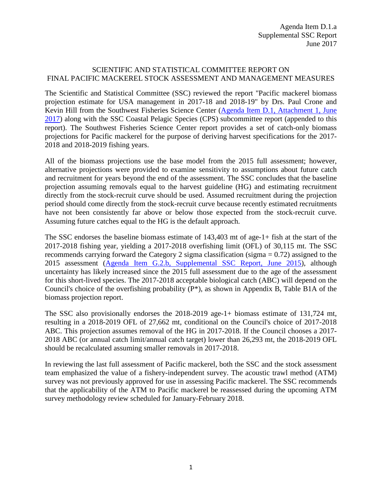## SCIENTIFIC AND STATISTICAL COMMITTEE REPORT ON FINAL PACIFIC MACKEREL STOCK ASSESSMENT AND MANAGEMENT MEASURES

The Scientific and Statistical Committee (SSC) reviewed the report "Pacific mackerel biomass projection estimate for USA management in 2017-18 and 2018-19" by Drs. Paul Crone and Kevin Hill from the Southwest Fisheries Science Center [\(Agenda Item D.1, Attachment 1, June](http://www.pcouncil.org/wp-content/uploads/2017/05/D1_Att1_Mackerel_Biomass_Estimate_Jun2017BB.pdf)  [2017\)](http://www.pcouncil.org/wp-content/uploads/2017/05/D1_Att1_Mackerel_Biomass_Estimate_Jun2017BB.pdf) along with the SSC Coastal Pelagic Species (CPS) subcommittee report (appended to this report). The Southwest Fisheries Science Center report provides a set of catch-only biomass projections for Pacific mackerel for the purpose of deriving harvest specifications for the 2017- 2018 and 2018-2019 fishing years.

All of the biomass projections use the base model from the 2015 full assessment; however, alternative projections were provided to examine sensitivity to assumptions about future catch and recruitment for years beyond the end of the assessment. The SSC concludes that the baseline projection assuming removals equal to the harvest guideline (HG) and estimating recruitment directly from the stock-recruit curve should be used. Assumed recruitment during the projection period should come directly from the stock-recruit curve because recently estimated recruitments have not been consistently far above or below those expected from the stock-recruit curve. Assuming future catches equal to the HG is the default approach.

The SSC endorses the baseline biomass estimate of 143,403 mt of age-1+ fish at the start of the 2017-2018 fishing year, yielding a 2017-2018 overfishing limit (OFL) of 30,115 mt. The SSC recommends carrying forward the Category 2 sigma classification (sigma  $= 0.72$ ) assigned to the 2015 assessment [\(Agenda Item G.2.b, Supplemental SSC Report, June 2015\)](http://www.pcouncil.org/wp-content/uploads/2015/06/G2b_Sup_SSC_Rpt_JUN2015BB.pdf), although uncertainty has likely increased since the 2015 full assessment due to the age of the assessment for this short-lived species. The 2017-2018 acceptable biological catch (ABC) will depend on the Council's choice of the overfishing probability (P\*), as shown in Appendix B, Table B1A of the biomass projection report.

The SSC also provisionally endorses the 2018-2019 age-1+ biomass estimate of 131,724 mt, resulting in a 2018-2019 OFL of 27,662 mt, conditional on the Council's choice of 2017-2018 ABC. This projection assumes removal of the HG in 2017-2018. If the Council chooses a 2017- 2018 ABC (or annual catch limit/annual catch target) lower than 26,293 mt, the 2018-2019 OFL should be recalculated assuming smaller removals in 2017-2018.

In reviewing the last full assessment of Pacific mackerel, both the SSC and the stock assessment team emphasized the value of a fishery-independent survey. The acoustic trawl method (ATM) survey was not previously approved for use in assessing Pacific mackerel. The SSC recommends that the applicability of the ATM to Pacific mackerel be reassessed during the upcoming ATM survey methodology review scheduled for January-February 2018.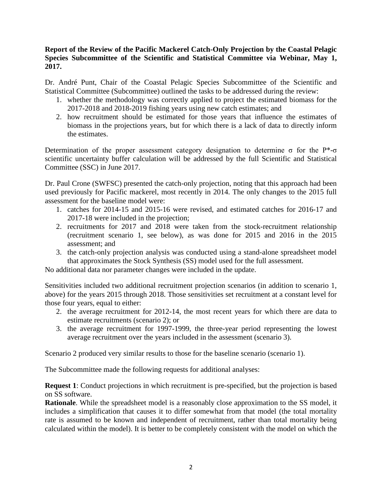## **Report of the Review of the Pacific Mackerel Catch-Only Projection by the Coastal Pelagic Species Subcommittee of the Scientific and Statistical Committee via Webinar, May 1, 2017.**

Dr. André Punt, Chair of the Coastal Pelagic Species Subcommittee of the Scientific and Statistical Committee (Subcommittee) outlined the tasks to be addressed during the review:

- 1. whether the methodology was correctly applied to project the estimated biomass for the 2017-2018 and 2018-2019 fishing years using new catch estimates; and
- 2. how recruitment should be estimated for those years that influence the estimates of biomass in the projections years, but for which there is a lack of data to directly inform the estimates.

Determination of the proper assessment category designation to determine σ for the P<sup>\*</sup>-σ scientific uncertainty buffer calculation will be addressed by the full Scientific and Statistical Committee (SSC) in June 2017.

Dr. Paul Crone (SWFSC) presented the catch-only projection, noting that this approach had been used previously for Pacific mackerel, most recently in 2014. The only changes to the 2015 full assessment for the baseline model were:

- 1. catches for 2014-15 and 2015-16 were revised, and estimated catches for 2016-17 and 2017-18 were included in the projection;
- 2. recruitments for 2017 and 2018 were taken from the stock-recruitment relationship (recruitment scenario 1, see below), as was done for 2015 and 2016 in the 2015 assessment; and
- 3. the catch-only projection analysis was conducted using a stand-alone spreadsheet model that approximates the Stock Synthesis (SS) model used for the full assessment.

No additional data nor parameter changes were included in the update.

Sensitivities included two additional recruitment projection scenarios (in addition to scenario 1, above) for the years 2015 through 2018. Those sensitivities set recruitment at a constant level for those four years, equal to either:

- 2. the average recruitment for 2012-14, the most recent years for which there are data to estimate recruitments (scenario 2); or
- 3. the average recruitment for 1997-1999, the three-year period representing the lowest average recruitment over the years included in the assessment (scenario 3).

Scenario 2 produced very similar results to those for the baseline scenario (scenario 1).

The Subcommittee made the following requests for additional analyses:

**Request 1**: Conduct projections in which recruitment is pre-specified, but the projection is based on SS software.

**Rationale**. While the spreadsheet model is a reasonably close approximation to the SS model, it includes a simplification that causes it to differ somewhat from that model (the total mortality rate is assumed to be known and independent of recruitment, rather than total mortality being calculated within the model). It is better to be completely consistent with the model on which the